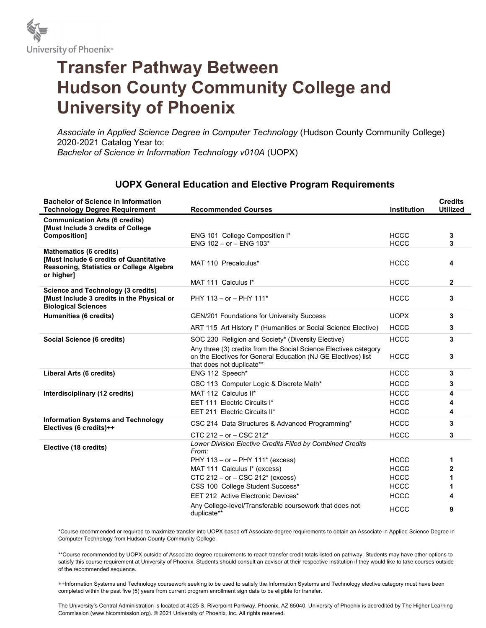

## Transfer Pathway Between Hudson County Community College and University of Phoenix

Associate in Applied Science Degree in Computer Technology (Hudson County Community College) 2020-2021 Catalog Year to: Bachelor of Science in Information Technology v010A (UOPX)

## UOPX General Education and Elective Program Requirements

| <b>Bachelor of Science in Information</b><br><b>Technology Degree Requirement</b>                                     | <b>Recommended Courses</b>                                                                                                                                     | <b>Institution</b>         | <b>Credits</b><br><b>Utilized</b> |
|-----------------------------------------------------------------------------------------------------------------------|----------------------------------------------------------------------------------------------------------------------------------------------------------------|----------------------------|-----------------------------------|
| <b>Communication Arts (6 credits)</b><br>[Must Include 3 credits of College                                           |                                                                                                                                                                |                            |                                   |
| <b>Composition1</b>                                                                                                   | ENG 101 College Composition I*<br>ENG $102 - or - ENG 103*$                                                                                                    | <b>HCCC</b><br><b>HCCC</b> | 3<br>3                            |
| <b>Mathematics (6 credits)</b>                                                                                        |                                                                                                                                                                |                            |                                   |
| [Must Include 6 credits of Quantitative<br>Reasoning, Statistics or College Algebra<br>or higher]                     | MAT 110 Precalculus*                                                                                                                                           | <b>HCCC</b>                | 4                                 |
|                                                                                                                       | MAT 111 Calculus I*                                                                                                                                            | <b>HCCC</b>                | $\mathbf{2}$                      |
| <b>Science and Technology (3 credits)</b><br>[Must Include 3 credits in the Physical or<br><b>Biological Sciences</b> | PHY 113 - or - PHY 111*                                                                                                                                        | <b>HCCC</b>                | 3                                 |
| Humanities (6 credits)                                                                                                | <b>GEN/201 Foundations for University Success</b>                                                                                                              | <b>UOPX</b>                | 3                                 |
|                                                                                                                       | ART 115 Art History I* (Humanities or Social Science Elective)                                                                                                 | <b>HCCC</b>                | 3                                 |
| Social Science (6 credits)                                                                                            | SOC 230 Religion and Society* (Diversity Elective)                                                                                                             | <b>HCCC</b>                | 3                                 |
|                                                                                                                       | Any three (3) credits from the Social Science Electives category<br>on the Electives for General Education (NJ GE Electives) list<br>that does not duplicate** | <b>HCCC</b>                | 3                                 |
| Liberal Arts (6 credits)                                                                                              | ENG 112 Speech*                                                                                                                                                | <b>HCCC</b>                | 3                                 |
|                                                                                                                       | CSC 113 Computer Logic & Discrete Math*                                                                                                                        | <b>HCCC</b>                | 3                                 |
| Interdisciplinary (12 credits)                                                                                        | MAT 112 Calculus II*                                                                                                                                           | <b>HCCC</b>                | 4                                 |
|                                                                                                                       | EET 111 Electric Circuits I*                                                                                                                                   | <b>HCCC</b>                | 4                                 |
|                                                                                                                       | EET 211 Electric Circuits II*                                                                                                                                  | <b>HCCC</b>                | 4                                 |
| <b>Information Systems and Technology</b><br>Electives (6 credits)++                                                  | CSC 214 Data Structures & Advanced Programming*                                                                                                                | <b>HCCC</b>                | 3                                 |
|                                                                                                                       | $CTC 212 - or - CSC 212*$                                                                                                                                      | <b>HCCC</b>                | 3                                 |
| Elective (18 credits)                                                                                                 | Lower Division Elective Credits Filled by Combined Credits<br>From:                                                                                            |                            |                                   |
|                                                                                                                       | PHY 113 - or - PHY 111* (excess)                                                                                                                               | <b>HCCC</b>                | 1                                 |
|                                                                                                                       | MAT 111 Calculus I* (excess)                                                                                                                                   | <b>HCCC</b>                | $\mathbf{2}$                      |
|                                                                                                                       | CTC 212 - or - CSC 212* (excess)                                                                                                                               | <b>HCCC</b>                | 1                                 |
|                                                                                                                       | CSS 100 College Student Success*                                                                                                                               | <b>HCCC</b>                | 1                                 |
|                                                                                                                       | EET 212 Active Electronic Devices*                                                                                                                             | <b>HCCC</b>                | 4                                 |
|                                                                                                                       | Any College-level/Transferable coursework that does not<br>duplicate**                                                                                         | <b>HCCC</b>                | 9                                 |

\*Course recommended or required to maximize transfer into UOPX based off Associate degree requirements to obtain an Associate in Applied Science Degree in Computer Technology from Hudson County Community College.

\*\*Course recommended by UOPX outside of Associate degree requirements to reach transfer credit totals listed on pathway. Students may have other options to satisfy this course requirement at University of Phoenix. Students should consult an advisor at their respective institution if they would like to take courses outside of the recommended sequence.

++Information Systems and Technology coursework seeking to be used to satisfy the Information Systems and Technology elective category must have been completed within the past five (5) years from current program enrollment sign date to be eligible for transfer.

The University's Central Administration is located at 4025 S. Riverpoint Parkway, Phoenix, AZ 85040. University of Phoenix is accredited by The Higher Learning Commission (www.hlcommission.org). © 2021 University of Phoenix, Inc. All rights reserved.